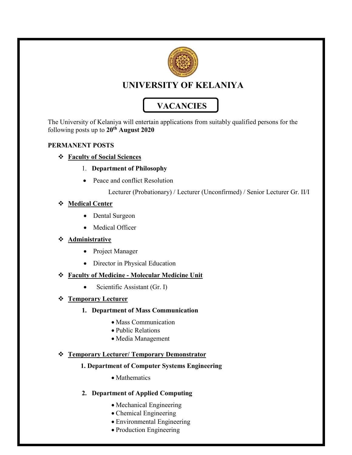

## UNIVERSITY OF KELANIYA

# **VACANCIES**

The University of Kelaniya will entertain applications from suitably qualified persons for the following posts up to  $20^{th}$  August 2020

#### PERMANENT POSTS

#### Faculty of Social Sciences

#### 1. Department of Philosophy

• Peace and conflict Resolution

Lecturer (Probationary) / Lecturer (Unconfirmed) / Senior Lecturer Gr. II/I

#### Medical Center

- Dental Surgeon
- Medical Officer

#### Administrative

- Project Manager
- Director in Physical Education

#### Faculty of Medicine - Molecular Medicine Unit

Scientific Assistant (Gr. I)

#### **Steff Temporary Lecturer**

#### 1. Department of Mass Communication

- Mass Communication
- Public Relations
- Media Management

#### Temporary Lecturer/ Temporary Demonstrator

#### 1. Department of Computer Systems Engineering

• Mathematics

### 2. Department of Applied Computing

- Mechanical Engineering
- Chemical Engineering
- Environmental Engineering
- Production Engineering